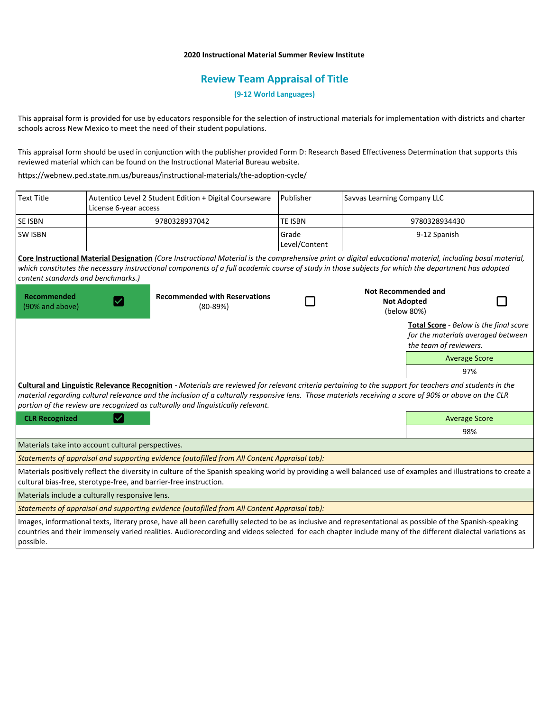## **2020 Instructional Material Summer Review Institute**

# **Review Team Appraisal of Title**

**(9-12 World Languages)**

This appraisal form is provided for use by educators responsible for the selection of instructional materials for implementation with districts and charter schools across New Mexico to meet the need of their student populations.

This appraisal form should be used in conjunction with the publisher provided Form D: Research Based Effectiveness Determination that supports this reviewed material which can be found on the Instructional Material Bureau website.

<https://webnew.ped.state.nm.us/bureaus/instructional-materials/the-adoption-cycle/>

possible.

| <b>Text Title</b>                                  | License 6-year access | Autentico Level 2 Student Edition + Digital Courseware                                                                                                                                                                                                                                                                                                                                              | Publisher              | Savvas Learning Company LLC |                                                                                                        |  |
|----------------------------------------------------|-----------------------|-----------------------------------------------------------------------------------------------------------------------------------------------------------------------------------------------------------------------------------------------------------------------------------------------------------------------------------------------------------------------------------------------------|------------------------|-----------------------------|--------------------------------------------------------------------------------------------------------|--|
| SE ISBN                                            |                       | 9780328937042                                                                                                                                                                                                                                                                                                                                                                                       | <b>TE ISBN</b>         | 9780328934430               |                                                                                                        |  |
| <b>SW ISBN</b>                                     |                       |                                                                                                                                                                                                                                                                                                                                                                                                     | Grade<br>Level/Content | 9-12 Spanish                |                                                                                                        |  |
| content standards and benchmarks.)                 |                       | Core Instructional Material Designation (Core Instructional Material is the comprehensive print or digital educational material, including basal material,<br>which constitutes the necessary instructional components of a full academic course of study in those subjects for which the department has adopted                                                                                    |                        |                             |                                                                                                        |  |
| <b>Recommended</b><br>(90% and above)              |                       | <b>Recommended with Reservations</b><br>$(80-89%)$                                                                                                                                                                                                                                                                                                                                                  |                        |                             | Not Recommended and<br><b>Not Adopted</b><br>(below 80%)                                               |  |
|                                                    |                       |                                                                                                                                                                                                                                                                                                                                                                                                     |                        |                             | Total Score - Below is the final score<br>for the materials averaged between<br>the team of reviewers. |  |
|                                                    |                       |                                                                                                                                                                                                                                                                                                                                                                                                     |                        |                             | <b>Average Score</b>                                                                                   |  |
|                                                    |                       |                                                                                                                                                                                                                                                                                                                                                                                                     |                        |                             | 97%                                                                                                    |  |
|                                                    |                       | Cultural and Linguistic Relevance Recognition - Materials are reviewed for relevant criteria pertaining to the support for teachers and students in the<br>material regarding cultural relevance and the inclusion of a culturally responsive lens. Those materials receiving a score of 90% or above on the CLR<br>portion of the review are recognized as culturally and linguistically relevant. |                        |                             |                                                                                                        |  |
| <b>CLR Recognized</b>                              | <b>Average Score</b>  |                                                                                                                                                                                                                                                                                                                                                                                                     |                        |                             |                                                                                                        |  |
|                                                    |                       |                                                                                                                                                                                                                                                                                                                                                                                                     |                        |                             | 98%                                                                                                    |  |
| Materials take into account cultural perspectives. |                       |                                                                                                                                                                                                                                                                                                                                                                                                     |                        |                             |                                                                                                        |  |
|                                                    |                       | Statements of appraisal and supporting evidence (autofilled from All Content Appraisal tab):                                                                                                                                                                                                                                                                                                        |                        |                             |                                                                                                        |  |
|                                                    |                       | Materials positively reflect the diversity in culture of the Spanish speaking world by providing a well balanced use of examples and illustrations to create a<br>cultural bias-free, sterotype-free, and barrier-free instruction.                                                                                                                                                                 |                        |                             |                                                                                                        |  |
| Materials include a culturally responsive lens.    |                       |                                                                                                                                                                                                                                                                                                                                                                                                     |                        |                             |                                                                                                        |  |
|                                                    |                       | Statements of appraisal and supporting evidence (autofilled from All Content Appraisal tab):                                                                                                                                                                                                                                                                                                        |                        |                             |                                                                                                        |  |
|                                                    |                       | Images, informational texts, literary prose, have all been carefullly selected to be as inclusive and representational as possible of the Spanish-speaking<br>countries and their immensely varied realities. Audiorecording and videos selected for each chapter include many of the different dialectal variations as                                                                             |                        |                             |                                                                                                        |  |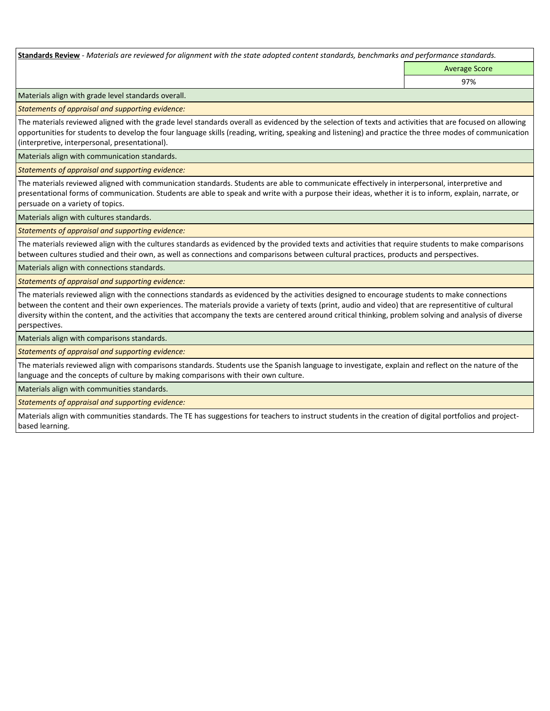**Standards Review** *- Materials are reviewed for alignment with the state adopted content standards, benchmarks and performance standards.*

Average Score 97%

Materials align with grade level standards overall.

*Statements of appraisal and supporting evidence:* 

The materials reviewed aligned with the grade level standards overall as evidenced by the selection of texts and activities that are focused on allowing opportunities for students to develop the four language skills (reading, writing, speaking and listening) and practice the three modes of communication (interpretive, interpersonal, presentational).

Materials align with communication standards.

*Statements of appraisal and supporting evidence:* 

The materials reviewed aligned with communication standards. Students are able to communicate effectively in interpersonal, interpretive and presentational forms of communication. Students are able to speak and write with a purpose their ideas, whether it is to inform, explain, narrate, or persuade on a variety of topics.

Materials align with cultures standards.

*Statements of appraisal and supporting evidence:* 

The materials reviewed align with the cultures standards as evidenced by the provided texts and activities that require students to make comparisons between cultures studied and their own, as well as connections and comparisons between cultural practices, products and perspectives.

Materials align with connections standards.

*Statements of appraisal and supporting evidence:* 

The materials reviewed align with the connections standards as evidenced by the activities designed to encourage students to make connections between the content and their own experiences. The materials provide a variety of texts (print, audio and video) that are representitive of cultural diversity within the content, and the activities that accompany the texts are centered around critical thinking, problem solving and analysis of diverse perspectives.

Materials align with comparisons standards.

*Statements of appraisal and supporting evidence:* 

The materials reviewed align with comparisons standards. Students use the Spanish language to investigate, explain and reflect on the nature of the language and the concepts of culture by making comparisons with their own culture.

Materials align with communities standards.

*Statements of appraisal and supporting evidence:* 

Materials align with communities standards. The TE has suggestions for teachers to instruct students in the creation of digital portfolios and projectbased learning.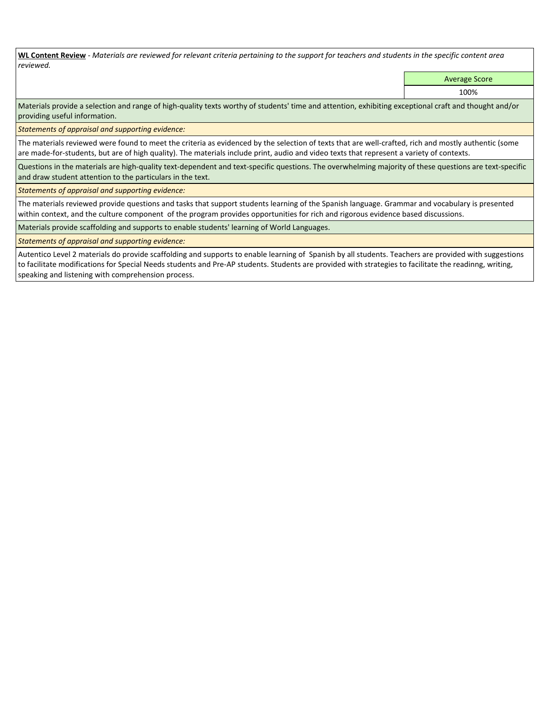**WL Content Review** *- Materials are reviewed for relevant criteria pertaining to the support for teachers and students in the specific content area reviewed.*

Average Score

100%

Materials provide a selection and range of high-quality texts worthy of students' time and attention, exhibiting exceptional craft and thought and/or providing useful information.

*Statements of appraisal and supporting evidence:* 

The materials reviewed were found to meet the criteria as evidenced by the selection of texts that are well-crafted, rich and mostly authentic (some are made-for-students, but are of high quality). The materials include print, audio and video texts that represent a variety of contexts.

Questions in the materials are high-quality text-dependent and text-specific questions. The overwhelming majority of these questions are text-specific and draw student attention to the particulars in the text.

*Statements of appraisal and supporting evidence:* 

The materials reviewed provide questions and tasks that support students learning of the Spanish language. Grammar and vocabulary is presented within context, and the culture component of the program provides opportunities for rich and rigorous evidence based discussions.

Materials provide scaffolding and supports to enable students' learning of World Languages.

*Statements of appraisal and supporting evidence:* 

Autentico Level 2 materials do provide scaffolding and supports to enable learning of Spanish by all students. Teachers are provided with suggestions to facilitate modifications for Special Needs students and Pre-AP students. Students are provided with strategies to facilitate the readinng, writing, speaking and listening with comprehension process.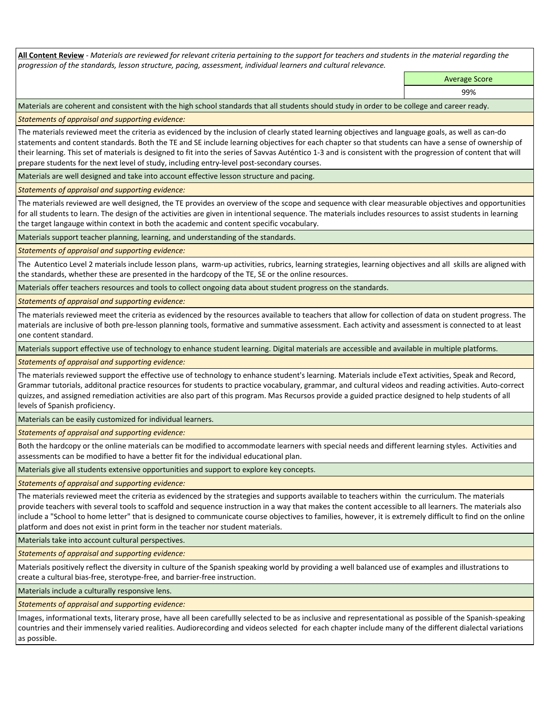**All Content Review** *- Materials are reviewed for relevant criteria pertaining to the support for teachers and students in the material regarding the progression of the standards, lesson structure, pacing, assessment, individual learners and cultural relevance.*

> Average Score 99%

Materials are coherent and consistent with the high school standards that all students should study in order to be college and career ready.

*Statements of appraisal and supporting evidence:*

The materials reviewed meet the criteria as evidenced by the inclusion of clearly stated learning objectives and language goals, as well as can-do statements and content standards. Both the TE and SE include learning objectives for each chapter so that students can have a sense of ownership of their learning. This set of materials is designed to fit into the series of Savvas Auténtico 1-3 and is consistent with the progression of content that will prepare students for the next level of study, including entry-level post-secondary courses.

Materials are well designed and take into account effective lesson structure and pacing.

*Statements of appraisal and supporting evidence:*

The materials reviewed are well designed, the TE provides an overview of the scope and sequence with clear measurable objectives and opportunities for all students to learn. The design of the activities are given in intentional sequence. The materials includes resources to assist students in learning the target langauge within context in both the academic and content specific vocabulary.

Materials support teacher planning, learning, and understanding of the standards.

*Statements of appraisal and supporting evidence:*

The Autentico Level 2 materials include lesson plans, warm-up activities, rubrics, learning strategies, learning objectives and all skills are aligned with the standards, whether these are presented in the hardcopy of the TE, SE or the online resources.

Materials offer teachers resources and tools to collect ongoing data about student progress on the standards.

*Statements of appraisal and supporting evidence:*

The materials reviewed meet the criteria as evidenced by the resources available to teachers that allow for collection of data on student progress. The materials are inclusive of both pre-lesson planning tools, formative and summative assessment. Each activity and assessment is connected to at least one content standard.

Materials support effective use of technology to enhance student learning. Digital materials are accessible and available in multiple platforms.

*Statements of appraisal and supporting evidence:*

The materials reviewed support the effective use of technology to enhance student's learning. Materials include eText activities, Speak and Record, Grammar tutorials, additonal practice resources for students to practice vocabulary, grammar, and cultural videos and reading activities. Auto-correct quizzes, and assigned remediation activities are also part of this program. Mas Recursos provide a guided practice designed to help students of all levels of Spanish proficiency.

Materials can be easily customized for individual learners.

*Statements of appraisal and supporting evidence:* 

Both the hardcopy or the online materials can be modified to accommodate learners with special needs and different learning styles. Activities and assessments can be modified to have a better fit for the individual educational plan.

Materials give all students extensive opportunities and support to explore key concepts.

*Statements of appraisal and supporting evidence:*

The materials reviewed meet the criteria as evidenced by the strategies and supports available to teachers within the curriculum. The materials provide teachers with several tools to scaffold and sequence instruction in a way that makes the content accessible to all learners. The materials also include a "School to home letter" that is designed to communicate course objectives to families, however, it is extremely difficult to find on the online platform and does not exist in print form in the teacher nor student materials.

Materials take into account cultural perspectives.

*Statements of appraisal and supporting evidence:*

Materials positively reflect the diversity in culture of the Spanish speaking world by providing a well balanced use of examples and illustrations to create a cultural bias-free, sterotype-free, and barrier-free instruction.

Materials include a culturally responsive lens.

*Statements of appraisal and supporting evidence:*

Images, informational texts, literary prose, have all been carefullly selected to be as inclusive and representational as possible of the Spanish-speaking countries and their immensely varied realities. Audiorecording and videos selected for each chapter include many of the different dialectal variations as possible.